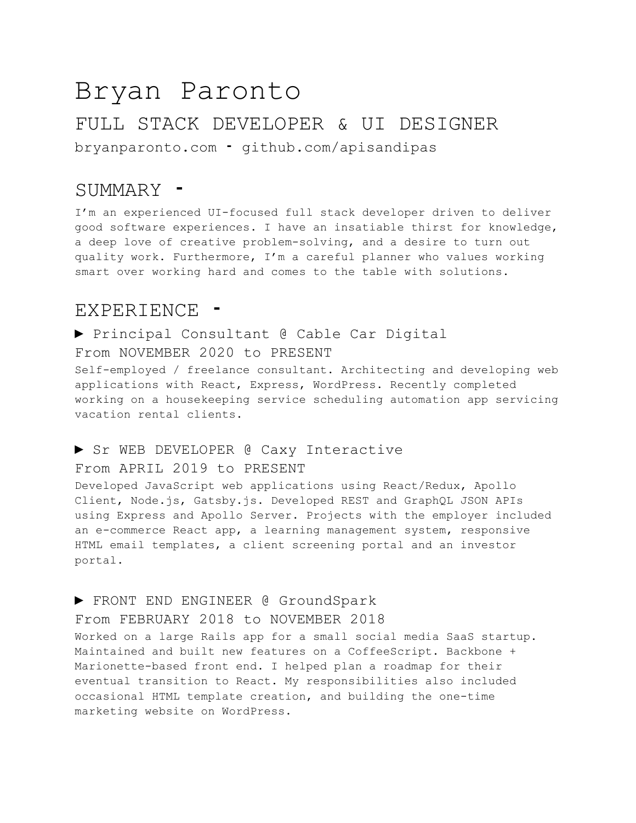# Bryan Paronto FULL STACK DEVELOPER & UI DESIGNER bryanparonto.com ⁃ github.com/apisandipas

## SUMMARY ⁃

I'm an experienced UI-focused full stack developer driven to deliver good software experiences. I have an insatiable thirst for knowledge, a deep love of creative problem-solving, and a desire to turn out quality work. Furthermore, I'm a careful planner who values working smart over working hard and comes to the table with solutions.

## EXPERIENCE

► Principal Consultant @ Cable Car Digital From NOVEMBER 2020 to PRESENT Self-employed / freelance consultant. Architecting and developing web applications with React, Express, WordPress. Recently completed working on a housekeeping service scheduling automation app servicing vacation rental clients.

#### ► Sr WEB DEVELOPER @ Caxy Interactive

### From APRIL 2019 to PRESENT

Developed JavaScript web applications using React/Redux, Apollo Client, Node.js, Gatsby.js. Developed REST and GraphQL JSON APIs using Express and Apollo Server. Projects with the employer included an e-commerce React app, a learning management system, responsive HTML email templates, a client screening portal and an investor portal.

## ► FRONT END ENGINEER @ GroundSpark

#### From FEBRUARY 2018 to NOVEMBER 2018

Worked on a large Rails app for a small social media SaaS startup. Maintained and built new features on a CoffeeScript. Backbone + Marionette-based front end. I helped plan a roadmap for their eventual transition to React. My responsibilities also included occasional HTML template creation, and building the one-time marketing website on WordPress.